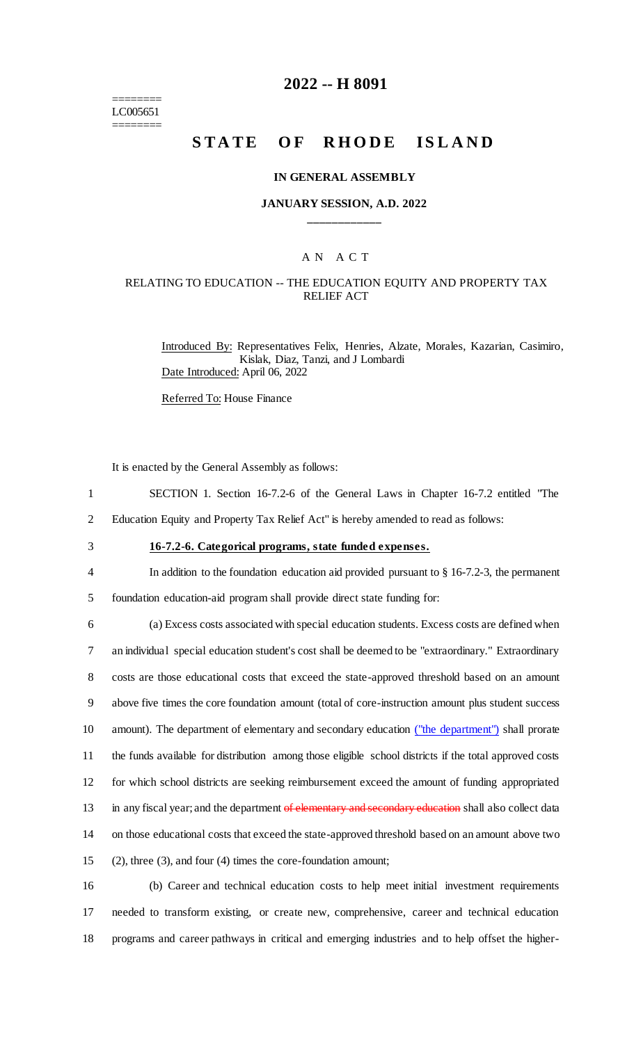======== LC005651 ========

# **2022 -- H 8091**

# **STATE OF RHODE ISLAND**

#### **IN GENERAL ASSEMBLY**

#### **JANUARY SESSION, A.D. 2022 \_\_\_\_\_\_\_\_\_\_\_\_**

# A N A C T

### RELATING TO EDUCATION -- THE EDUCATION EQUITY AND PROPERTY TAX RELIEF ACT

Introduced By: Representatives Felix, Henries, Alzate, Morales, Kazarian, Casimiro, Kislak, Diaz, Tanzi, and J Lombardi Date Introduced: April 06, 2022

Referred To: House Finance

It is enacted by the General Assembly as follows:

- 1 SECTION 1. Section 16-7.2-6 of the General Laws in Chapter 16-7.2 entitled "The
- 2 Education Equity and Property Tax Relief Act" is hereby amended to read as follows:
- 

# 3 **16-7.2-6. Categorical programs, state funded expenses.**

4 In addition to the foundation education aid provided pursuant to § 16-7.2-3, the permanent

5 foundation education-aid program shall provide direct state funding for:

 (a) Excess costs associated with special education students. Excess costs are defined when an individual special education student's cost shall be deemed to be "extraordinary." Extraordinary costs are those educational costs that exceed the state-approved threshold based on an amount above five times the core foundation amount (total of core-instruction amount plus student success amount). The department of elementary and secondary education ("the department") shall prorate the funds available for distribution among those eligible school districts if the total approved costs for which school districts are seeking reimbursement exceed the amount of funding appropriated 13 in any fiscal year; and the department of elementary and secondary education shall also collect data on those educational costs that exceed the state-approved threshold based on an amount above two (2), three (3), and four (4) times the core-foundation amount;

16 (b) Career and technical education costs to help meet initial investment requirements 17 needed to transform existing, or create new, comprehensive, career and technical education 18 programs and career pathways in critical and emerging industries and to help offset the higher-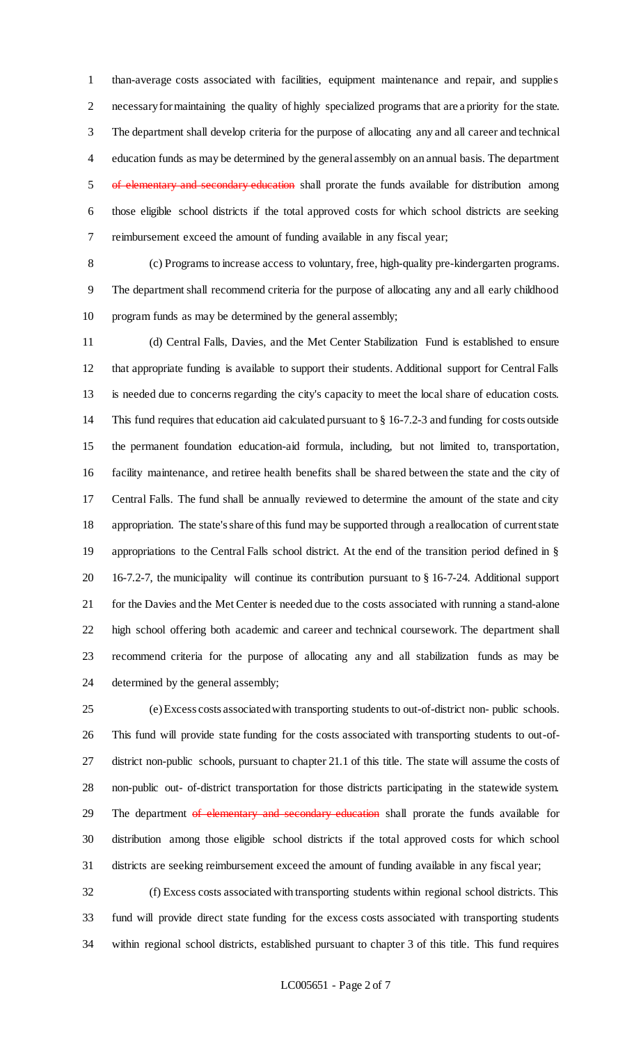than-average costs associated with facilities, equipment maintenance and repair, and supplies necessary for maintaining the quality of highly specialized programs that are a priority for the state. The department shall develop criteria for the purpose of allocating any and all career and technical education funds as may be determined by the general assembly on an annual basis. The department 5 of elementary and secondary education shall prorate the funds available for distribution among those eligible school districts if the total approved costs for which school districts are seeking reimbursement exceed the amount of funding available in any fiscal year;

 (c) Programs to increase access to voluntary, free, high-quality pre-kindergarten programs. The department shall recommend criteria for the purpose of allocating any and all early childhood program funds as may be determined by the general assembly;

 (d) Central Falls, Davies, and the Met Center Stabilization Fund is established to ensure that appropriate funding is available to support their students. Additional support for Central Falls is needed due to concerns regarding the city's capacity to meet the local share of education costs. This fund requires that education aid calculated pursuant to § 16-7.2-3 and funding for costs outside the permanent foundation education-aid formula, including, but not limited to, transportation, facility maintenance, and retiree health benefits shall be shared between the state and the city of Central Falls. The fund shall be annually reviewed to determine the amount of the state and city appropriation. The state's share of this fund may be supported through a reallocation of current state appropriations to the Central Falls school district. At the end of the transition period defined in § 16-7.2-7, the municipality will continue its contribution pursuant to § 16-7-24. Additional support for the Davies and the Met Center is needed due to the costs associated with running a stand-alone high school offering both academic and career and technical coursework. The department shall recommend criteria for the purpose of allocating any and all stabilization funds as may be determined by the general assembly;

 (e) Excess costs associated with transporting students to out-of-district non- public schools. This fund will provide state funding for the costs associated with transporting students to out-of- district non-public schools, pursuant to chapter 21.1 of this title. The state will assume the costs of non-public out- of-district transportation for those districts participating in the statewide system. 29 The department of elementary and secondary education shall prorate the funds available for distribution among those eligible school districts if the total approved costs for which school districts are seeking reimbursement exceed the amount of funding available in any fiscal year;

 (f) Excess costs associated with transporting students within regional school districts. This fund will provide direct state funding for the excess costs associated with transporting students within regional school districts, established pursuant to chapter 3 of this title. This fund requires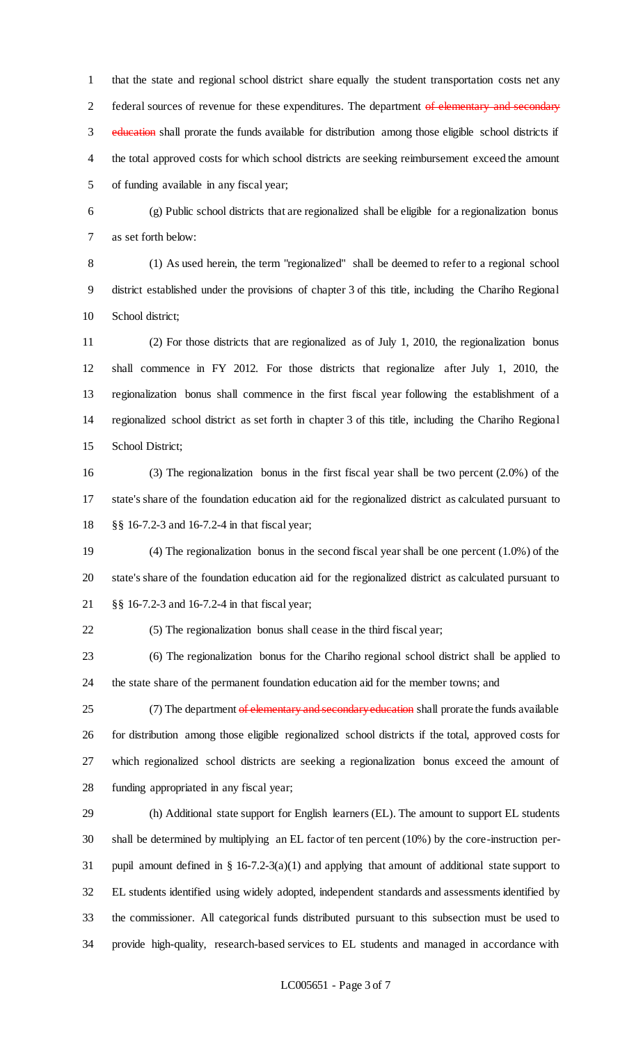that the state and regional school district share equally the student transportation costs net any 2 federal sources of revenue for these expenditures. The department of elementary and secondary 3 education shall prorate the funds available for distribution among those eligible school districts if the total approved costs for which school districts are seeking reimbursement exceed the amount of funding available in any fiscal year;

 (g) Public school districts that are regionalized shall be eligible for a regionalization bonus as set forth below:

 (1) As used herein, the term "regionalized" shall be deemed to refer to a regional school district established under the provisions of chapter 3 of this title, including the Chariho Regional School district;

 (2) For those districts that are regionalized as of July 1, 2010, the regionalization bonus shall commence in FY 2012. For those districts that regionalize after July 1, 2010, the regionalization bonus shall commence in the first fiscal year following the establishment of a regionalized school district as set forth in chapter 3 of this title, including the Chariho Regional School District;

 (3) The regionalization bonus in the first fiscal year shall be two percent (2.0%) of the state's share of the foundation education aid for the regionalized district as calculated pursuant to §§ 16-7.2-3 and 16-7.2-4 in that fiscal year;

 (4) The regionalization bonus in the second fiscal year shall be one percent (1.0%) of the state's share of the foundation education aid for the regionalized district as calculated pursuant to §§ 16-7.2-3 and 16-7.2-4 in that fiscal year;

(5) The regionalization bonus shall cease in the third fiscal year;

 (6) The regionalization bonus for the Chariho regional school district shall be applied to the state share of the permanent foundation education aid for the member towns; and

25 (7) The department of elementary and secondary education shall prorate the funds available for distribution among those eligible regionalized school districts if the total, approved costs for which regionalized school districts are seeking a regionalization bonus exceed the amount of funding appropriated in any fiscal year;

 (h) Additional state support for English learners (EL). The amount to support EL students shall be determined by multiplying an EL factor of ten percent (10%) by the core-instruction per- pupil amount defined in § 16-7.2-3(a)(1) and applying that amount of additional state support to EL students identified using widely adopted, independent standards and assessments identified by the commissioner. All categorical funds distributed pursuant to this subsection must be used to provide high-quality, research-based services to EL students and managed in accordance with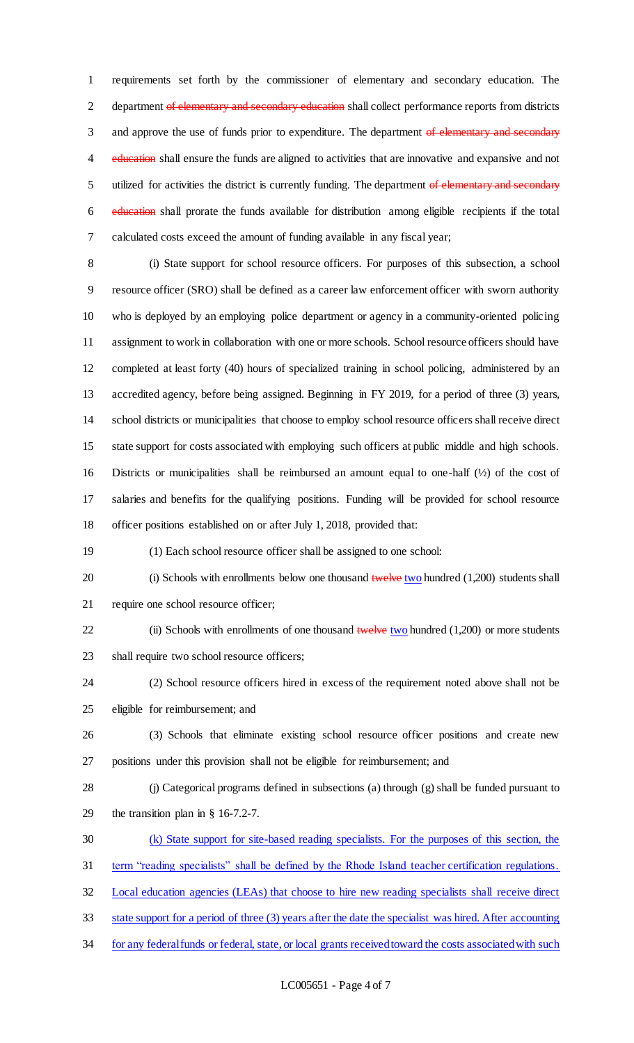requirements set forth by the commissioner of elementary and secondary education. The 2 department of elementary and secondary education shall collect performance reports from districts 3 and approve the use of funds prior to expenditure. The department of elementary and secondary 4 education shall ensure the funds are aligned to activities that are innovative and expansive and not 5 utilized for activities the district is currently funding. The department of elementary and secondary education shall prorate the funds available for distribution among eligible recipients if the total calculated costs exceed the amount of funding available in any fiscal year;

 (i) State support for school resource officers. For purposes of this subsection, a school resource officer (SRO) shall be defined as a career law enforcement officer with sworn authority who is deployed by an employing police department or agency in a community-oriented policing assignment to work in collaboration with one or more schools. School resource officers should have completed at least forty (40) hours of specialized training in school policing, administered by an accredited agency, before being assigned. Beginning in FY 2019, for a period of three (3) years, school districts or municipalities that choose to employ school resource officers shall receive direct state support for costs associated with employing such officers at public middle and high schools. Districts or municipalities shall be reimbursed an amount equal to one-half (½) of the cost of salaries and benefits for the qualifying positions. Funding will be provided for school resource officer positions established on or after July 1, 2018, provided that:

(1) Each school resource officer shall be assigned to one school:

20 (i) Schools with enrollments below one thousand twelve two hundred (1,200) students shall require one school resource officer;

22 (ii) Schools with enrollments of one thousand twelve two hundred (1,200) or more students shall require two school resource officers;

 (2) School resource officers hired in excess of the requirement noted above shall not be eligible for reimbursement; and

- (3) Schools that eliminate existing school resource officer positions and create new positions under this provision shall not be eligible for reimbursement; and
- (j) Categorical programs defined in subsections (a) through (g) shall be funded pursuant to the transition plan in § 16-7.2-7.
- (k) State support for site-based reading specialists. For the purposes of this section, the
- term "reading specialists" shall be defined by the Rhode Island teacher certification regulations.

Local education agencies (LEAs) that choose to hire new reading specialists shall receive direct

- state support for a period of three (3) years after the date the specialist was hired. After accounting
- 34 for any federal funds or federal, state, or local grants received toward the costs associated with such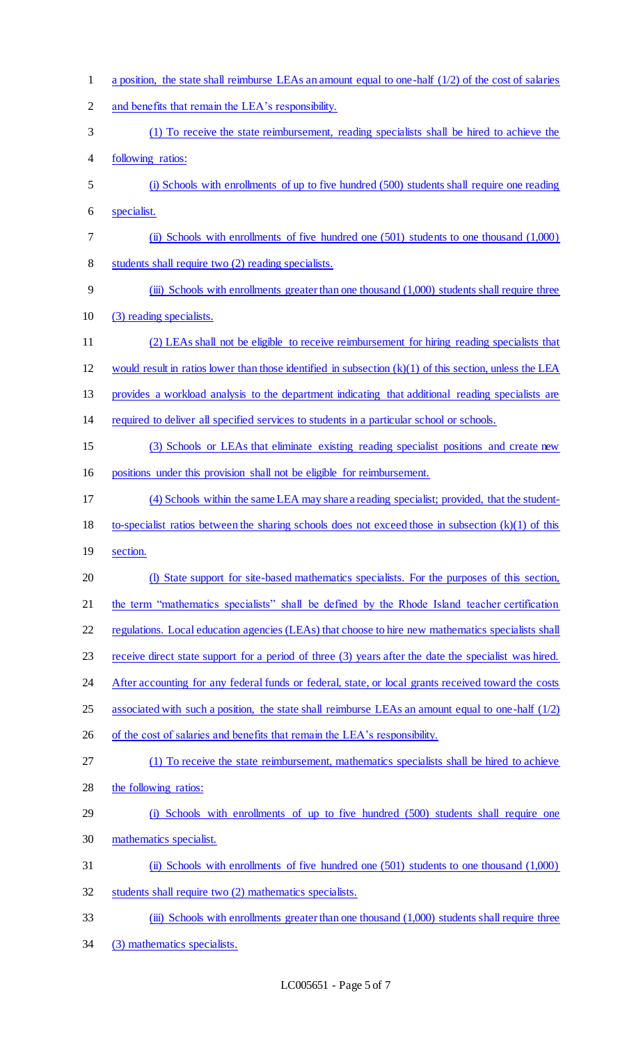| $\mathbf{1}$   | a position, the state shall reimburse LEAs an amount equal to one-half $(1/2)$ of the cost of salaries    |
|----------------|-----------------------------------------------------------------------------------------------------------|
| $\overline{2}$ | and benefits that remain the LEA's responsibility.                                                        |
| 3              | (1) To receive the state reimbursement, reading specialists shall be hired to achieve the                 |
| 4              | following ratios:                                                                                         |
| 5              | (i) Schools with enrollments of up to five hundred (500) students shall require one reading               |
| 6              | specialist.                                                                                               |
| 7              | (ii) Schools with enrollments of five hundred one $(501)$ students to one thousand $(1,000)$              |
| 8              | students shall require two (2) reading specialists.                                                       |
| 9              | (iii) Schools with enrollments greater than one thousand (1,000) students shall require three             |
| 10             | (3) reading specialists.                                                                                  |
| 11             | (2) LEAs shall not be eligible to receive reimbursement for hiring reading specialists that               |
| 12             | would result in ratios lower than those identified in subsection $(k)(1)$ of this section, unless the LEA |
| 13             | provides a workload analysis to the department indicating that additional reading specialists are         |
| 14             | required to deliver all specified services to students in a particular school or schools.                 |
| 15             | (3) Schools or LEAs that eliminate existing reading specialist positions and create new                   |
| 16             | positions under this provision shall not be eligible for reimbursement.                                   |
| 17             | (4) Schools within the same LEA may share a reading specialist; provided, that the student-               |
| 18             | to-specialist ratios between the sharing schools does not exceed those in subsection $(k)(1)$ of this     |
| 19             | section.                                                                                                  |
| 20             | (I) State support for site-based mathematics specialists. For the purposes of this section,               |
| 21             | the term "mathematics specialists" shall be defined by the Rhode Island teacher certification             |
| 22             | regulations. Local education agencies (LEAs) that choose to hire new mathematics specialists shall        |
| 23             | receive direct state support for a period of three (3) years after the date the specialist was hired.     |
| 24             | After accounting for any federal funds or federal, state, or local grants received toward the costs       |
| 25             | associated with such a position, the state shall reimburse LEAs an amount equal to one-half $(1/2)$       |
| 26             | of the cost of salaries and benefits that remain the LEA's responsibility.                                |
| 27             | (1) To receive the state reimbursement, mathematics specialists shall be hired to achieve                 |
| 28             | the following ratios:                                                                                     |
| 29             | (i) Schools with enrollments of up to five hundred (500) students shall require one                       |
| 30             | mathematics specialist.                                                                                   |
| 31             | (ii) Schools with enrollments of five hundred one $(501)$ students to one thousand $(1,000)$              |
| 32             | students shall require two (2) mathematics specialists.                                                   |
| 33             | (iii) Schools with enrollments greater than one thousand (1,000) students shall require three             |
| 34             | (3) mathematics specialists.                                                                              |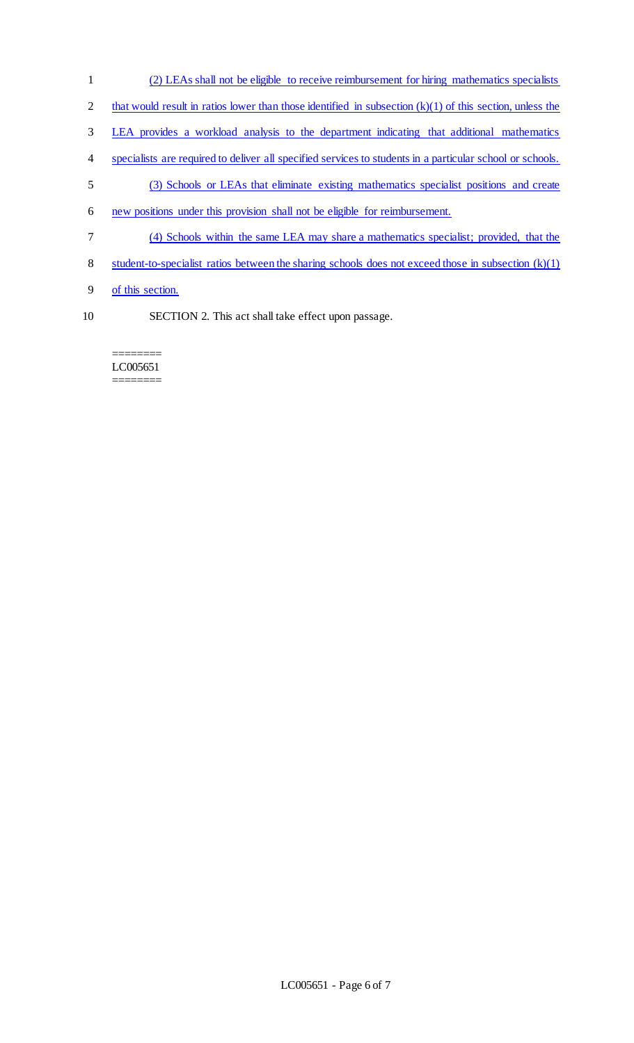- (2) LEAs shall not be eligible to receive reimbursement for hiring mathematics specialists
- 2 that would result in ratios lower than those identified in subsection  $(k)(1)$  of this section, unless the
- LEA provides a workload analysis to the department indicating that additional mathematics
- specialists are required to deliver all specified services to students in a particular school or schools.
- (3) Schools or LEAs that eliminate existing mathematics specialist positions and create
- new positions under this provision shall not be eligible for reimbursement.
- (4) Schools within the same LEA may share a mathematics specialist; provided, that the
- student-to-specialist ratios between the sharing schools does not exceed those in subsection (k)(1)
- of this section.
- SECTION 2. This act shall take effect upon passage.

======== LC005651 ========